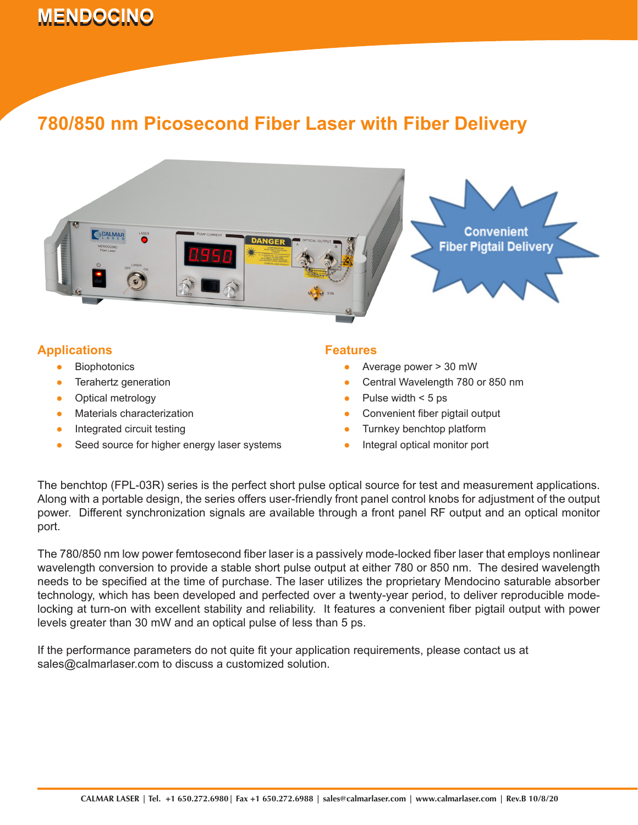# **MENDOCINO 780/850 nm Picosecond Fiber Laser with Fiber Laser with Fiber Laser with Fiber Laser with Fiber Delivery**

## **780/850 nm Picosecond Fiber Laser with Fiber Delivery**



### **Applications**

- Biophotonics ●
- Terahertz generation ●
- Optical metrology ●
- Materials characterization ●
- Integrated circuit testing ●
- Seed source for higher energy laser systems ●

#### **Features**

- Average power > 30 mW
- Central Wavelength 780 or 850 nm ●
- Pulse width < 5 ps ●
- Convenient fiber pigtail output ●
- Turnkey benchtop platform ●
- Integral optical monitor port ●

The benchtop (FPL-03R) series is the perfect short pulse optical source for test and measurement applications. Along with a portable design, the series offers user-friendly front panel control knobs for adjustment of the output power. Different synchronization signals are available through a front panel RF output and an optical monitor port.

The 780/850 nm low power femtosecond fiber laser is a passively mode-locked fiber laser that employs nonlinear wavelength conversion to provide a stable short pulse output at either 780 or 850 nm. The desired wavelength needs to be specified at the time of purchase. The laser utilizes the proprietary Mendocino saturable absorber technology, which has been developed and perfected over a twenty-year period, to deliver reproducible modelocking at turn-on with excellent stability and reliability. It features a convenient fiber pigtail output with power levels greater than 30 mW and an optical pulse of less than 5 ps.

If the performance parameters do not quite fit your application requirements, please contact us at sales@calmarlaser.com to discuss a customized solution.